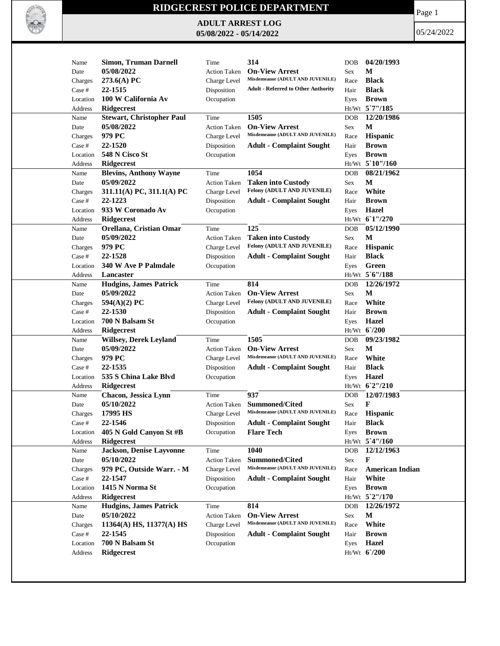

## **RIDGECREST POLICE DEPARTMENT**

**ADULT ARREST LOG 05/08/2022 - 05/14/2022**

Page 1

05/24/2022

| Name         | <b>Simon, Truman Darnell</b>                   | Time                | 314                                        | DOB        | 04/20/1993             |
|--------------|------------------------------------------------|---------------------|--------------------------------------------|------------|------------------------|
| Date         | 05/08/2022                                     | <b>Action Taken</b> | <b>On-View Arrest</b>                      | Sex        | М                      |
| Charges      | 273.6(A) PC                                    | Charge Level        | Misdemeanor (ADULT AND JUVENILE)           | Race       | <b>Black</b>           |
| Case #       | 22-1515                                        | Disposition         | <b>Adult - Referred to Other Authority</b> | Hair       | <b>Black</b>           |
| Location     | 100 W California Av                            | Occupation          |                                            | Eyes       | <b>Brown</b>           |
|              |                                                |                     |                                            |            | Ht/Wt 5`7"/185         |
| Address      | <b>Ridgecrest</b>                              | Time                | 1505                                       | DOB        | 12/20/1986             |
| Name<br>Date | <b>Stewart, Christopher Paul</b><br>05/08/2022 | <b>Action Taken</b> | <b>On-View Arrest</b>                      | Sex        | М                      |
|              | 979 PC                                         |                     | Misdemeanor (ADULT AND JUVENILE)           |            |                        |
| Charges      |                                                | Charge Level        |                                            | Race       | Hispanic               |
| Case #       | 22-1520                                        | Disposition         | <b>Adult - Complaint Sought</b>            | Hair       | <b>Brown</b>           |
| Location     | 548 N Cisco St                                 | Occupation          |                                            | Eyes       | <b>Brown</b>           |
| Address      | Ridgecrest                                     |                     |                                            |            | Ht/Wt 5'10"/160        |
| Name         | <b>Blevins, Anthony Wayne</b>                  | Time                | 1054                                       | DOB        | 08/21/1962             |
| Date         | 05/09/2022                                     | <b>Action Taken</b> | <b>Taken into Custody</b>                  | Sex        | M                      |
| Charges      | 311.11(A) PC, 311.1(A) PC                      | Charge Level        | Felony (ADULT AND JUVENILE)                | Race       | White                  |
| Case #       | 22-1223                                        | Disposition         | <b>Adult - Complaint Sought</b>            | Hair       | <b>Brown</b>           |
| Location     | 933 W Coronado Av                              | Occupation          |                                            | Eyes       | Hazel                  |
| Address      | <b>Ridgecrest</b>                              |                     |                                            |            | Ht/Wt 61"/270          |
| Name         | Orellana, Cristian Omar                        | Time                | 125                                        | DOB        | 05/12/1990             |
| Date         | 05/09/2022                                     | <b>Action Taken</b> | <b>Taken into Custody</b>                  | Sex        | M                      |
| Charges      | 979 PC                                         | Charge Level        | Felony (ADULT AND JUVENILE)                | Race       | <b>Hispanic</b>        |
| Case #       | 22-1528                                        | Disposition         | <b>Adult - Complaint Sought</b>            | Hair       | <b>Black</b>           |
| Location     | 340 W Ave P Palmdale                           | Occupation          |                                            | Eyes       | Green                  |
| Address      | Lancaster                                      |                     |                                            |            | Ht/Wt 5'6"/188         |
| Name         | <b>Hudgins, James Patrick</b>                  | Time                | 814                                        | <b>DOB</b> | 12/26/1972             |
| Date         | 05/09/2022                                     | <b>Action Taken</b> | <b>On-View Arrest</b>                      | Sex        | М                      |
| Charges      | 594(A)(2) PC                                   | Charge Level        | Felony (ADULT AND JUVENILE)                | Race       | White                  |
| Case #       | 22-1530                                        | Disposition         | <b>Adult - Complaint Sought</b>            | Hair       | <b>Brown</b>           |
| Location     | 700 N Balsam St                                | Occupation          |                                            | Eyes       | Hazel                  |
| Address      | Ridgecrest                                     |                     |                                            |            | Ht/Wt 6'/200           |
| Name         | <b>Willsey, Derek Leyland</b>                  | Time                | 1505                                       | DOB        | 09/23/1982             |
| Date         | 05/09/2022                                     | <b>Action Taken</b> | <b>On-View Arrest</b>                      | Sex        | M                      |
| Charges      | 979 PC                                         | Charge Level        | Misdemeanor (ADULT AND JUVENILE)           | Race       | White                  |
| Case #       | 22-1535                                        | Disposition         | <b>Adult - Complaint Sought</b>            | Hair       | <b>Black</b>           |
| Location     | 535 S China Lake Blvd                          | Occupation          |                                            | Eyes       | Hazel                  |
| Address      | <b>Ridgecrest</b>                              |                     |                                            |            | Ht/Wt 62"/210          |
| Name         | Chacon, Jessica Lynn                           | Time                | 937                                        | <b>DOB</b> | 12/07/1983             |
| Date         | 05/10/2022                                     | <b>Action Taken</b> | Summoned/Cited                             | Sex        | F                      |
| Charges      | 17995 HS                                       | Charge Level        | Misdemeanor (ADULT AND JUVENILE)           | Race       | <b>Hispanic</b>        |
| Case #       | 22-1546                                        | Disposition         | <b>Adult - Complaint Sought</b>            | Hair       | <b>Black</b>           |
| Location     | 405 N Gold Canyon St #B                        | Occupation          | <b>Flare Tech</b>                          |            | Eyes <b>Brown</b>      |
| Address      | <b>Ridgecrest</b>                              |                     |                                            |            | Ht/Wt 5'4"/160         |
| Name         | <b>Jackson, Denise Layvonne</b>                | Time                | 1040                                       | <b>DOB</b> | 12/12/1963             |
| Date         | 05/10/2022                                     | <b>Action Taken</b> | Summoned/Cited                             | Sex        | F                      |
| Charges      | 979 PC, Outside Warr. - M                      | Charge Level        | Misdemeanor (ADULT AND JUVENILE)           | Race       | <b>American Indian</b> |
| Case #       | 22-1547                                        | Disposition         | <b>Adult - Complaint Sought</b>            | Hair       | White                  |
| Location     | 1415 N Norma St                                | Occupation          |                                            | Eyes       | <b>Brown</b>           |
| Address      | <b>Ridgecrest</b>                              |                     |                                            |            | Ht/Wt 5`2"/170         |
| Name         | <b>Hudgins, James Patrick</b>                  | Time                | 814                                        | DOB        | 12/26/1972             |
| Date         | 05/10/2022                                     | <b>Action Taken</b> | <b>On-View Arrest</b>                      | Sex        | M                      |
| Charges      | 11364(A) HS, 11377(A) HS                       | Charge Level        | Misdemeanor (ADULT AND JUVENILE)           | Race       | White                  |
| Case #       | 22-1545                                        | Disposition         | <b>Adult - Complaint Sought</b>            | Hair       | <b>Brown</b>           |
|              | 700 N Balsam St                                |                     |                                            |            | Hazel                  |
| Location     |                                                | Occupation          |                                            | Eyes       |                        |
| Address      | <b>Ridgecrest</b>                              |                     |                                            |            | Ht/Wt 6'/200           |
|              |                                                |                     |                                            |            |                        |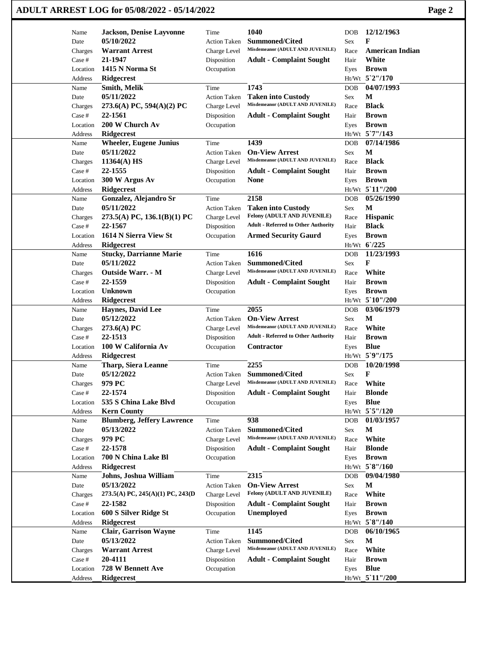## **ADULT ARREST LOG for 05/08/2022 - 05/14/2022 Page 2**

| Name     | <b>Jackson, Denise Layvonne</b>   | Time                | 1040                                       | <b>DOB</b> | 12/12/1963             |
|----------|-----------------------------------|---------------------|--------------------------------------------|------------|------------------------|
| Date     | 05/10/2022                        | <b>Action Taken</b> | <b>Summoned/Cited</b>                      | Sex        | F                      |
| Charges  | <b>Warrant Arrest</b>             | Charge Level        | Misdemeanor (ADULT AND JUVENILE)           | Race       | <b>American Indian</b> |
| Case #   | 21-1947                           | Disposition         | <b>Adult - Complaint Sought</b>            | Hair       | White                  |
| Location | 1415 N Norma St                   | Occupation          |                                            | Eyes       | <b>Brown</b>           |
| Address  | <b>Ridgecrest</b>                 |                     |                                            |            | Ht/Wt 5`2"/170         |
| Name     | <b>Smith, Melik</b>               | Time                | 1743                                       | <b>DOB</b> | 04/07/1993             |
| Date     | 05/11/2022                        | <b>Action Taken</b> | <b>Taken into Custody</b>                  | Sex        | $\mathbf M$            |
| Charges  | 273.6(A) PC, 594(A)(2) PC         | Charge Level        | Misdemeanor (ADULT AND JUVENILE)           | Race       | <b>Black</b>           |
| Case #   | 22-1561                           | Disposition         | <b>Adult - Complaint Sought</b>            | Hair       | <b>Brown</b>           |
| Location | 200 W Church Av                   | Occupation          |                                            | Eyes       | <b>Brown</b>           |
| Address  | Ridgecrest                        |                     |                                            |            | Ht/Wt 5'7"/143         |
| Name     | <b>Wheeler, Eugene Junius</b>     | Time                | 1439                                       | <b>DOB</b> | 07/14/1986             |
| Date     | 05/11/2022                        | <b>Action Taken</b> | <b>On-View Arrest</b>                      | Sex        | $\mathbf{M}$           |
| Charges  | 11364(A) HS                       | Charge Level        | Misdemeanor (ADULT AND JUVENILE)           | Race       | <b>Black</b>           |
| Case #   | 22-1555                           | Disposition         | <b>Adult - Complaint Sought</b>            | Hair       | <b>Brown</b>           |
| Location | 300 W Argus Av                    | Occupation          | <b>None</b>                                | Eyes       | <b>Brown</b>           |
| Address  | <b>Ridgecrest</b>                 |                     |                                            | Ht/Wt      | 5 11"/200              |
| Name     | Gonzalez, Alejandro Sr            | Time                | 2158                                       | <b>DOB</b> | 05/26/1990             |
| Date     | 05/11/2022                        | <b>Action Taken</b> | <b>Taken into Custody</b>                  | Sex        | M                      |
| Charges  | 273.5(A) PC, $136.1(B)(1)$ PC     | Charge Level        | Felony (ADULT AND JUVENILE)                | Race       | Hispanic               |
| Case #   | 22-1567                           | Disposition         | <b>Adult - Referred to Other Authority</b> | Hair       | <b>Black</b>           |
| Location | 1614 N Sierra View St             | Occupation          | <b>Armed Security Gaurd</b>                | Eyes       | <b>Brown</b>           |
| Address  | <b>Ridgecrest</b>                 |                     |                                            |            | Ht/Wt 6/225            |
| Name     | <b>Stucky, Darrianne Marie</b>    | Time                | 1616                                       | <b>DOB</b> | 11/23/1993             |
| Date     | 05/11/2022                        | <b>Action Taken</b> | <b>Summoned/Cited</b>                      | Sex        | $\mathbf F$            |
| Charges  | <b>Outside Warr. - M</b>          | Charge Level        | Misdemeanor (ADULT AND JUVENILE)           | Race       | White                  |
| Case #   | 22-1559                           | Disposition         | <b>Adult - Complaint Sought</b>            | Hair       | <b>Brown</b>           |
| Location | <b>Unknown</b>                    | Occupation          |                                            | Eyes       | <b>Brown</b>           |
| Address  | <b>Ridgecrest</b>                 |                     |                                            |            | Ht/Wt 5`10"/200        |
| Name     | <b>Haynes, David Lee</b>          | Time                | 2055                                       | <b>DOB</b> | 03/06/1979             |
| Date     | 05/12/2022                        | <b>Action Taken</b> | <b>On-View Arrest</b>                      | Sex        | $\mathbf{M}$           |
| Charges  | 273.6(A) PC                       | Charge Level        | Misdemeanor (ADULT AND JUVENILE)           | Race       | White                  |
| Case #   | 22-1513                           | Disposition         | <b>Adult - Referred to Other Authority</b> | Hair       | <b>Brown</b>           |
| Location | 100 W California Av               | Occupation          | Contractor                                 | Eyes       | <b>Blue</b>            |
| Address  | Ridgecrest                        |                     |                                            |            | Ht/Wt 5`9"/175         |
| Name     | <b>Tharp, Siera Leanne</b>        | Time                | 2255                                       | <b>DOB</b> | 10/20/1998             |
| Date     | 05/12/2022                        | <b>Action Taken</b> | Summoned/Cited                             | Sex        | F                      |
| Charges  | 979 PC                            | Charge Level        | Misdemeanor (ADULT AND JUVENILE)           | Race       | White                  |
| Case #   | 22-1574                           | Disposition         | <b>Adult - Complaint Sought</b>            | Hair       | <b>Blonde</b>          |
| Location | 535 S China Lake Blvd             | Occupation          |                                            | Eyes       | <b>Blue</b>            |
| Address  | <b>Kern County</b>                |                     |                                            |            | Ht/Wt 5`5"/120         |
| Name     | <b>Blumberg, Jeffery Lawrence</b> | Time                | 938                                        | DOB        | 01/03/1957             |
| Date     | 05/13/2022                        | Action Taken        | <b>Summoned/Cited</b>                      | Sex        | M                      |
| Charges  | 979 PC                            | Charge Level        | Misdemeanor (ADULT AND JUVENILE)           | Race       | White                  |
| Case #   | 22-1578                           | Disposition         | <b>Adult - Complaint Sought</b>            | Hair       | <b>Blonde</b>          |
| Location | 700 N China Lake Bl               | Occupation          |                                            | Eyes       | <b>Brown</b>           |
| Address  | <b>Ridgecrest</b>                 |                     |                                            |            | Ht/Wt 5`8"/160         |
| Name     | Johns, Joshua William             | Time                | 2315                                       | DOB        | 09/04/1980             |
| Date     | 05/13/2022                        | Action Taken        | <b>On-View Arrest</b>                      | Sex        | M                      |
| Charges  | 273.5(A) PC, 245(A)(1) PC, 243(D) | Charge Level        | Felony (ADULT AND JUVENILE)                | Race       | White                  |
| Case #   | 22-1582                           | Disposition         | <b>Adult - Complaint Sought</b>            | Hair       | <b>Brown</b>           |
| Location | 600 S Silver Ridge St             | Occupation          | <b>Unemployed</b>                          | Eyes       | <b>Brown</b>           |
| Address  | <b>Ridgecrest</b>                 |                     |                                            |            | Ht/Wt 5`8"/140         |
| Name     | <b>Clair, Garrison Wayne</b>      | Time                | 1145                                       | <b>DOB</b> | 06/10/1965             |
| Date     | 05/13/2022                        | Action Taken        | <b>Summoned/Cited</b>                      | Sex        | $\mathbf M$            |
| Charges  | <b>Warrant Arrest</b>             | Charge Level        | Misdemeanor (ADULT AND JUVENILE)           | Race       | White                  |
| Case #   | 20-4111                           | Disposition         | <b>Adult - Complaint Sought</b>            | Hair       | <b>Brown</b>           |
| Location | 728 W Bennett Ave                 | Occupation          |                                            | Eyes       | <b>Blue</b>            |
| Address  | Ridgecrest                        |                     |                                            |            | Ht/Wt_5`11"/200        |
|          |                                   |                     |                                            |            |                        |